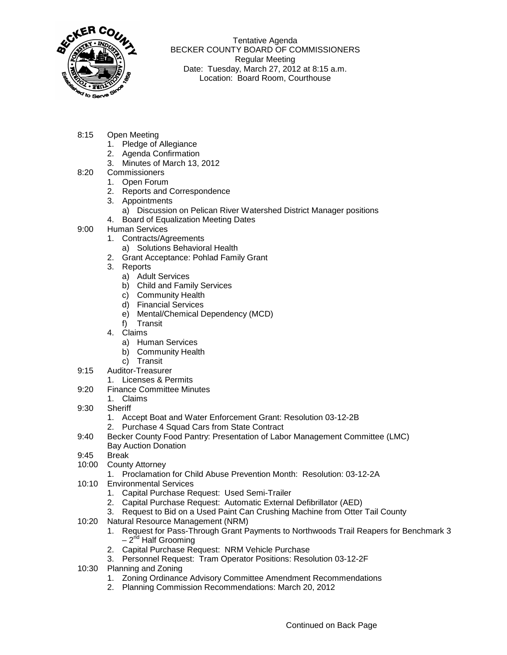

Tentative Agenda BECKER COUNTY BOARD OF COMMISSIONERS Regular Meeting Date: Tuesday, March 27, 2012 at 8:15 a.m. Location: Board Room, Courthouse

- 8:15 Open Meeting
	- 1. Pledge of Allegiance
	- 2. Agenda Confirmation
	- 3. Minutes of March 13, 2012
- 8:20 Commissioners
	- 1. Open Forum
	- 2. Reports and Correspondence
	- 3. Appointments
		- a) Discussion on Pelican River Watershed District Manager positions
	- 4. Board of Equalization Meeting Dates
- 9:00 Human Services
	- 1. Contracts/Agreements
		- a) Solutions Behavioral Health
	- 2. Grant Acceptance: Pohlad Family Grant
	- 3. Reports
		- a) Adult Services
		- b) Child and Family Services
		- c) Community Health
		- d) Financial Services
		- e) Mental/Chemical Dependency (MCD)
		- f) Transit
	- 4. Claims
		- a) Human Services
		- b) Community Health
		- c) Transit
- 9:15 Auditor-Treasurer
	- 1. Licenses & Permits
- 9:20 Finance Committee Minutes
	- 1. Claims
- 9:30 Sheriff
	- 1. Accept Boat and Water Enforcement Grant: Resolution 03-12-2B
	- 2. Purchase 4 Squad Cars from State Contract
- 9:40 Becker County Food Pantry: Presentation of Labor Management Committee (LMC) Bay Auction Donation
- 9:45 Break
- 10:00 County Attorney
	- 1. Proclamation for Child Abuse Prevention Month: Resolution: 03-12-2A
- 10:10 Environmental Services
	- 1. Capital Purchase Request: Used Semi-Trailer
	- 2. Capital Purchase Request: Automatic External Defibrillator (AED)
	- 3. Request to Bid on a Used Paint Can Crushing Machine from Otter Tail County
- 10:20 Natural Resource Management (NRM)
	- 1. Request for Pass-Through Grant Payments to Northwoods Trail Reapers for Benchmark 3  $-2^{nd}$  Half Grooming
	- 2. Capital Purchase Request: NRM Vehicle Purchase
	- 3. Personnel Request: Tram Operator Positions: Resolution 03-12-2F
- 10:30 Planning and Zoning
	- 1. Zoning Ordinance Advisory Committee Amendment Recommendations
	- 2. Planning Commission Recommendations: March 20, 2012